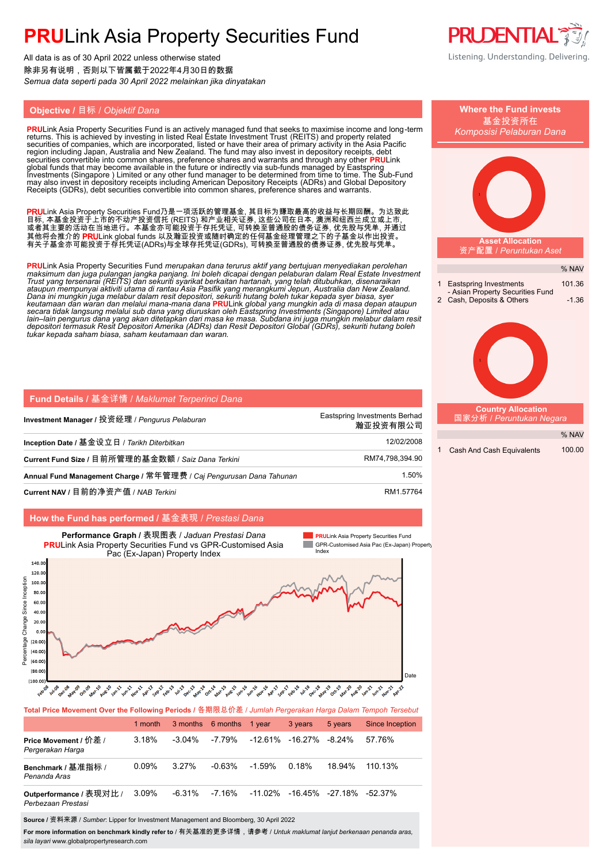## **PRULink Asia Property Securities Fund**

All data is as of 30 April 2022 unless otherwise stated 除非另有说明,否则以下皆属截于2022年4月30日的数据 *Semua data seperti pada 30 April 2022 melainkan jika dinyatakan*

### **Objective /** 目标 / *Objektif Dana* **Where the Fund invests**

**PRU**Link Asia Property Securities Fund is an actively managed fund that seeks to maximise income and long-term<br>returns. This is achieved by investing in listed Real Estate Investment Trust (REITS) and property related<br>sec securities convertible into common shares, preference shares and warrants and through any other **PRU**Link<br>global funds that may become available in the future or indirectly via sub-funds managed by Eastspring<br>Investments ( Receipts (GDRs), debt securities convertible into common shares, preference shares and warrants.

PRULink Asia Property Securities Fund乃是一项活跃的管理基金, 其目标为赚取最高的收益与长期回酬。为达致此 目标, 本基金投资于上市的不动产投资信托 (REITS) 和产业相关证券, 这些公司在日本, 澳洲和纽西兰成立或上市, 或者其主要的活动在当地进行。本基金亦可能投资于存托凭证, 可转换至普通股的债务证券, 优先股与凭单, 并通过 其他将会推介的 **PRU**Link global funds 以及瀚亚投资或随时确定的任何基金经理管理之下的子基金以作出投资。 有关子基金亦可能投资于存托凭证(ADRs)与全球存托凭证(GDRs), 可转换至普通股的债券证券, 优先股与凭单。

<mark>PRU</mark>Link Asia Property Securities Fund *merupakan dana terurus aktif yang bertujuan menyediakan perolehan*<br>maksimum dan juga pulangan jangka panjang. Ini boleh dicapai dengan pelaburan dalam Real Estate Investment<br>Trust y ataupun mempunyai aktiviti utama di rantau Asia Pasifik yang merangkumi Jepun, Australia dan New Zealand.<br>Dana ini mungkin juga melabur dalam resit depositori, sekuriti hutang boleh tukar kepada syer biasa, syer<br>keutamaan *depositori termasuk Resit Depositori Amerika (ADRs) dan Resit Depositori Global (GDRs), sekuriti hutang boleh tukar kepada saham biasa, saham keutamaan dan waran.*

| Fund Details / 基金详情 / Maklumat Terperinci Dana                      |                                           |
|---------------------------------------------------------------------|-------------------------------------------|
| Investment Manager / 投资经理 / <i>Penqurus Pelaburan</i>               | Eastspring Investments Berhad<br>瀚亚投资有限公司 |
| Inception Date / 基金设立日 / <i>Tarikh Diterbitkan</i>                  | 12/02/2008                                |
| Current Fund Size / 目前所管理的基金数额 / Saiz Dana Terkini                  | RM74,798,394.90                           |
| Annual Fund Management Charge / 常年管理费 / Cai Pengurusan Dana Tahunan | 1.50%                                     |
| Current NAV / 目前的净资产值 / NAB <i>Terkini</i>                          | RM1.57764                                 |

### **How the Fund has performed /** 基金表现 / *Prestasi Dana*



**Total Price Movement Over the Following Periods /** 各期限总价差 / *Jumlah Pergerakan Harga Dalam Tempoh Tersebut*

|                                               | 1 month  |           | 3 months 6 months 1 year |                        | 3 vears                   | 5 years | Since Inception |
|-----------------------------------------------|----------|-----------|--------------------------|------------------------|---------------------------|---------|-----------------|
| Price Movement / 价差 /<br>Pergerakan Harga     | 3.18%    | $-3.04\%$ | -7.79%                   | -12.61% -16.27% -8.24% |                           |         | 57.76%          |
| Benchmark / 基准指标 /<br>Penanda Aras            | $0.09\%$ | 3.27%     | $-0.63%$                 | -1.59%                 | 0.18%                     | 18.94%  | 110.13%         |
| Outperformance / 表现对比 /<br>Perbezaan Prestasi | 3.09%    | $-6.31\%$ | -7.16%                   | -11.02%                | $-1645\% -2718\% -5237\%$ |         |                 |

**Source /** 资料来源 / *Sumber*: Lipper for Investment Management and Bloomberg, 30 April 2022

**For more information on benchmark kindly refer to** / 有关基准的更多详情,请参考 / *Untuk maklumat lanjut berkenaan penanda aras, sila layari* www.globalpropertyresearch.com



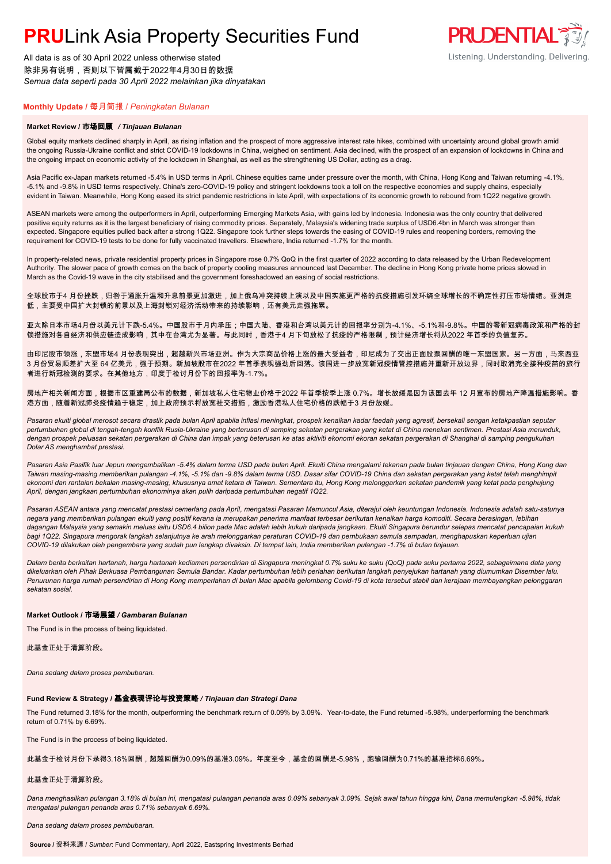## **PRULink Asia Property Securities Fund**

All data is as of 30 April 2022 unless otherwise stated 除非另有说明,否则以下皆属截于2022年4月30日的数据 *Semua data seperti pada 30 April 2022 melainkan jika dinyatakan*

#### **Monthly Update /** 每月简报 / *Peningkatan Bulanan*

#### **Market Review /** 市场回顾 */ Tinjauan Bulanan*

Global equity markets declined sharply in April, as rising inflation and the prospect of more aggressive interest rate hikes, combined with uncertainty around global growth amid the ongoing Russia-Ukraine conflict and strict COVID-19 lockdowns in China, weighed on sentiment. Asia declined, with the prospect of an expansion of lockdowns in China and the ongoing impact on economic activity of the lockdown in Shanghai, as well as the strengthening US Dollar, acting as a drag.

Asia Pacific ex-Japan markets returned -5.4% in USD terms in April. Chinese equities came under pressure over the month, with China, Hong Kong and Taiwan returning -4.1%, -5.1% and -9.8% in USD terms respectively. China's zero-COVID-19 policy and stringent lockdowns took a toll on the respective economies and supply chains, especially evident in Taiwan. Meanwhile, Hong Kong eased its strict pandemic restrictions in late April, with expectations of its economic growth to rebound from 1Q22 negative growth.

ASEAN markets were among the outperformers in April, outperforming Emerging Markets Asia, with gains led by Indonesia. Indonesia was the only country that delivered positive equity returns as it is the largest beneficiary of rising commodity prices. Separately, Malaysia's widening trade surplus of USD6.4bn in March was stronger than expected. Singapore equities pulled back after a strong 1Q22. Singapore took further steps towards the easing of COVID-19 rules and reopening borders, removing the requirement for COVID-19 tests to be done for fully vaccinated travellers. Elsewhere, India returned -1.7% for the month.

In property-related news, private residential property prices in Singapore rose 0.7% QoQ in the first quarter of 2022 according to data released by the Urban Redevelopment Authority. The slower pace of growth comes on the back of property cooling measures announced last December. The decline in Hong Kong private home prices slowed in March as the Covid-19 wave in the city stabilised and the government foreshadowed an easing of social restrictions.

全球股市于4 月份挫跌,归咎于通胀升温和升息前景更加激进,加上俄乌冲突持续上演以及中国实施更严格的抗疫措施引发环绕全球增长的不确定性打压市场情绪。亚洲走 低,主要受中国扩大封锁的前景以及上海封锁对经济活动带来的持续影响,还有美元走强拖累。

亚太除日本市场4月份以美元计下跌-5.4%。中国股市于月内承压;中国大陆、香港和台湾以美元计的回报率分别为-4.1%、-5.1%和-9.8%。中国的零新冠病毒政策和严格的封 锁措施对各自经济和供应链造成影响,其中在台湾尤为显著。与此同时,香港于4 月下旬放松了抗疫的严格限制,预计经济增长将从2022 年首季的负值复苏。

由印尼股市领涨,东盟市场4 月份表现突出,超越新兴市场亚洲。作为大宗商品价格上涨的最大受益者,印尼成为了交出正面股票回酬的唯一东盟国家。另一方面,马来西亚 。<br>3 月份贸易顺差扩大至 64 亿美元,强于预期。新加坡股市在2022 年首季表现强劲后回落。该国进一步放宽新冠疫情管控措施并重新开放边界,同时取消完全接种疫苗的旅行 者进行新冠检测的要求。在其他地方,印度于检讨月份下的回报率为-1.7%。

房地产相关新闻方面,根据市区重建局公布的数据,新加坡私人住宅物业价格于2022 年首季按季上涨 0.7%。增长放缓是因为该国去年 12 月宣布的房地产降温措施影响。香 港方面,随着新冠肺炎疫情趋于稳定,加上政府预示将放宽社交措施,激励香港私人住宅价格的跌幅于3 月份放缓。

*Pasaran ekuiti global merosot secara drastik pada bulan April apabila inflasi meningkat, prospek kenaikan kadar faedah yang agresif, bersekali sengan ketakpastian seputar pertumbuhan global di tengah-tengah konflik Rusia-Ukraine yang berterusan di samping sekatan pergerakan yang ketat di China menekan sentimen. Prestasi Asia merunduk, dengan prospek peluasan sekatan pergerakan di China dan impak yang beterusan ke atas aktiviti ekonomi ekoran sekatan pergerakan di Shanghai di samping pengukuhan Dolar AS menghambat prestasi.*

*Pasaran Asia Pasifik luar Jepun mengembalikan -5.4% dalam terma USD pada bulan April. Ekuiti China mengalami tekanan pada bulan tinjauan dengan China, Hong Kong dan Taiwan masing-masing memberikan pulangan -4.1%, -5.1% dan -9.8% dalam terma USD. Dasar sifar COVID-19 China dan sekatan pergerakan yang ketat telah menghimpit ekonomi dan rantaian bekalan masing-masing, khususnya amat ketara di Taiwan. Sementara itu, Hong Kong melonggarkan sekatan pandemik yang ketat pada penghujung April, dengan jangkaan pertumbuhan ekonominya akan pulih daripada pertumbuhan negatif 1Q22.*

*Pasaran ASEAN antara yang mencatat prestasi cemerlang pada April, mengatasi Pasaran Memuncul Asia, diterajui oleh keuntungan Indonesia. Indonesia adalah satu-satunya negara yang memberikan pulangan ekuiti yang positif kerana ia merupakan penerima manfaat terbesar berikutan kenaikan harga komoditi. Secara berasingan, lebihan dagangan Malaysia yang semakin meluas iaitu USD6.4 bilion pada Mac adalah lebih kukuh daripada jangkaan. Ekuiti Singapura berundur selepas mencatat pencapaian kukuh bagi 1Q22. Singapura mengorak langkah selanjutnya ke arah melonggarkan peraturan COVID-19 dan pembukaan semula sempadan, menghapuskan keperluan ujian COVID-19 dilakukan oleh pengembara yang sudah pun lengkap divaksin. Di tempat lain, India memberikan pulangan -1.7% di bulan tinjauan.*

*Dalam berita berkaitan hartanah, harga hartanah kediaman persendirian di Singapura meningkat 0.7% suku ke suku (QoQ) pada suku pertama 2022, sebagaimana data yang dikeluarkan oleh Pihak Berkuasa Pembangunan Semula Bandar. Kadar pertumbuhan lebih perlahan berikutan langkah penyejukan hartanah yang diumumkan Disember lalu. Penurunan harga rumah persendirian di Hong Kong memperlahan di bulan Mac apabila gelombang Covid-19 di kota tersebut stabil dan kerajaan membayangkan pelonggaran sekatan sosial.*

#### **Market Outlook /** 市场展望 */ Gambaran Bulanan*

The Fund is in the process of being liquidated.

此基金正处于清算阶段。

*Dana sedang dalam proses pembubaran.*

#### **Fund Review & Strategy /** 基金表现评论与投资策略 */ Tinjauan dan Strategi Dana*

The Fund returned 3.18% for the month, outperforming the benchmark return of 0.09% by 3.09%. Year-to-date, the Fund returned -5.98%, underperforming the benchmark return of 0.71% by 6.69%.

The Fund is in the process of being liquidated.

此基金于检讨月份下录得3.18%回酬,超越回酬为0.09%的基准3.09%。年度至今,基金的回酬是-5.98%,跑输回酬为0.71%的基准指标6.69%。

#### 此基金正处于清算阶段。

*Dana menghasilkan pulangan 3.18% di bulan ini, mengatasi pulangan penanda aras 0.09% sebanyak 3.09%. Sejak awal tahun hingga kini, Dana memulangkan -5.98%, tidak mengatasi pulangan penanda aras 0.71% sebanyak 6.69%.*

*Dana sedang dalam proses pembubaran.*